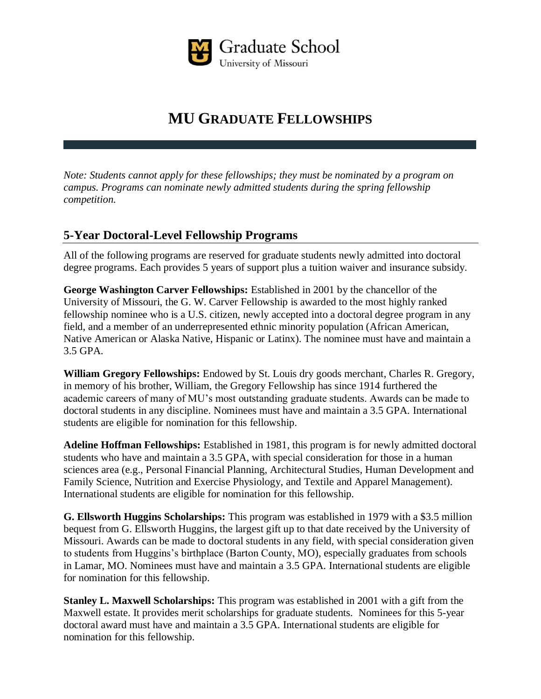

# **MU GRADUATE FELLOWSHIPS**

*Note: Students cannot apply for these fellowships; they must be nominated by a program on campus. Programs can nominate newly admitted students during the spring fellowship competition.* 

## **5-Year Doctoral-Level Fellowship Programs**

All of the following programs are reserved for graduate students newly admitted into doctoral degree programs. Each provides 5 years of support plus a tuition waiver and insurance subsidy.

**George Washington Carver Fellowships:** Established in 2001 by the chancellor of the University of Missouri, the G. W. Carver Fellowship is awarded to the most highly ranked fellowship nominee who is a U.S. citizen, newly accepted into a doctoral degree program in any field, and a member of an underrepresented ethnic minority population (African American, Native American or Alaska Native, Hispanic or Latinx). The nominee must have and maintain a 3.5 GPA.

**William Gregory Fellowships:** Endowed by St. Louis dry goods merchant, Charles R. Gregory, in memory of his brother, William, the Gregory Fellowship has since 1914 furthered the academic careers of many of MU's most outstanding graduate students. Awards can be made to doctoral students in any discipline. Nominees must have and maintain a 3.5 GPA. International students are eligible for nomination for this fellowship.

**Adeline Hoffman Fellowships:** Established in 1981, this program is for newly admitted doctoral students who have and maintain a 3.5 GPA, with special consideration for those in a human sciences area (e.g., Personal Financial Planning, Architectural Studies, Human Development and Family Science, Nutrition and Exercise Physiology, and Textile and Apparel Management). International students are eligible for nomination for this fellowship.

**G. Ellsworth Huggins Scholarships:** This program was established in 1979 with a \$3.5 million bequest from G. Ellsworth Huggins, the largest gift up to that date received by the University of Missouri. Awards can be made to doctoral students in any field, with special consideration given to students from Huggins's birthplace (Barton County, MO), especially graduates from schools in Lamar, MO. Nominees must have and maintain a 3.5 GPA. International students are eligible for nomination for this fellowship.

**Stanley L. Maxwell Scholarships:** This program was established in 2001 with a gift from the Maxwell estate. It provides merit scholarships for graduate students. Nominees for this 5-year doctoral award must have and maintain a 3.5 GPA. International students are eligible for nomination for this fellowship.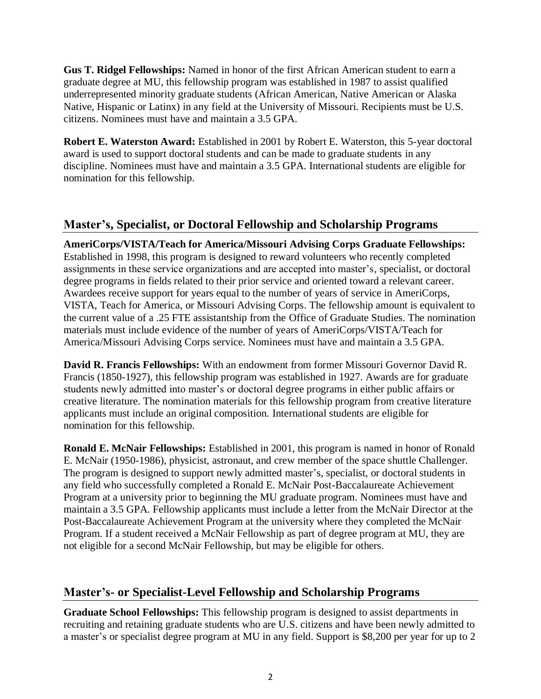**Gus T. Ridgel Fellowships:** Named in honor of the first African American student to earn a graduate degree at MU, this fellowship program was established in 1987 to assist qualified underrepresented minority graduate students (African American, Native American or Alaska Native, Hispanic or Latinx) in any field at the University of Missouri. Recipients must be U.S. citizens. Nominees must have and maintain a 3.5 GPA.

**Robert E. Waterston Award:** Established in 2001 by Robert E. Waterston, this 5-year doctoral award is used to support doctoral students and can be made to graduate students in any discipline. Nominees must have and maintain a 3.5 GPA. International students are eligible for nomination for this fellowship.

### **Master's, Specialist, or Doctoral Fellowship and Scholarship Programs**

**AmeriCorps/VISTA/Teach for America/Missouri Advising Corps Graduate Fellowships:**  Established in 1998, this program is designed to reward volunteers who recently completed assignments in these service organizations and are accepted into master's, specialist, or doctoral degree programs in fields related to their prior service and oriented toward a relevant career. Awardees receive support for years equal to the number of years of service in AmeriCorps, VISTA, Teach for America, or Missouri Advising Corps. The fellowship amount is equivalent to the current value of a .25 FTE assistantship from the Office of Graduate Studies. The nomination materials must include evidence of the number of years of AmeriCorps/VISTA/Teach for America/Missouri Advising Corps service. Nominees must have and maintain a 3.5 GPA.

**David R. Francis Fellowships:** With an endowment from former Missouri Governor David R. Francis (1850-1927), this fellowship program was established in 1927. Awards are for graduate students newly admitted into master's or doctoral degree programs in either public affairs or creative literature. The nomination materials for this fellowship program from creative literature applicants must include an original composition. International students are eligible for nomination for this fellowship.

**Ronald E. McNair Fellowships:** Established in 2001, this program is named in honor of Ronald E. McNair (1950-1986), physicist, astronaut, and crew member of the space shuttle Challenger. The program is designed to support newly admitted master's, specialist, or doctoral students in any field who successfully completed a Ronald E. McNair Post-Baccalaureate Achievement Program at a university prior to beginning the MU graduate program. Nominees must have and maintain a 3.5 GPA. Fellowship applicants must include a letter from the McNair Director at the Post-Baccalaureate Achievement Program at the university where they completed the McNair Program. If a student received a McNair Fellowship as part of degree program at MU, they are not eligible for a second McNair Fellowship, but may be eligible for others.

### **Master's- or Specialist-Level Fellowship and Scholarship Programs**

**Graduate School Fellowships:** This fellowship program is designed to assist departments in recruiting and retaining graduate students who are U.S. citizens and have been newly admitted to a master's or specialist degree program at MU in any field. Support is \$8,200 per year for up to 2